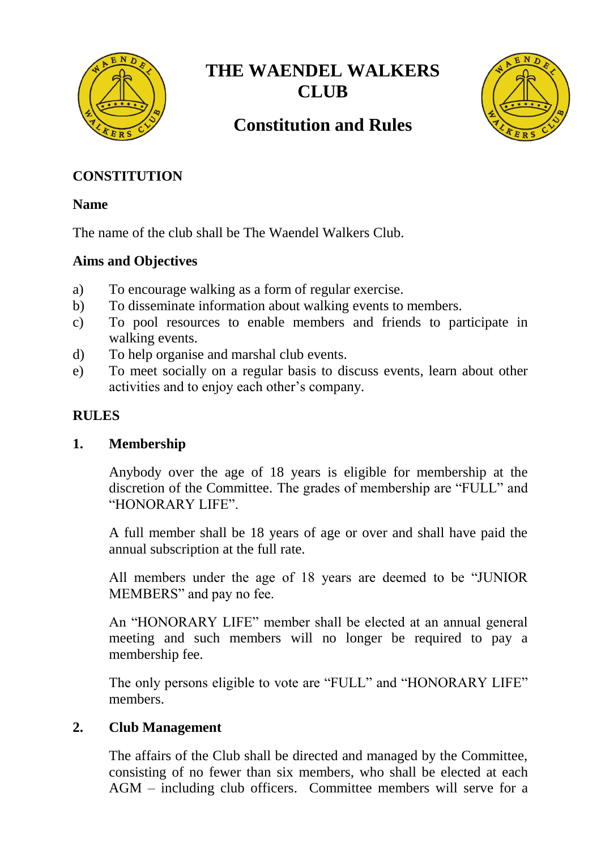

# **THE WAENDEL WALKERS CLUB**



# **Constitution and Rules**

# **CONSTITUTION**

## **Name**

The name of the club shall be The Waendel Walkers Club.

# **Aims and Objectives**

- a) To encourage walking as a form of regular exercise.
- b) To disseminate information about walking events to members.
- c) To pool resources to enable members and friends to participate in walking events.
- d) To help organise and marshal club events.
- e) To meet socially on a regular basis to discuss events, learn about other activities and to enjoy each other's company.

# **RULES**

## **1. Membership**

Anybody over the age of 18 years is eligible for membership at the discretion of the Committee. The grades of membership are "FULL" and "HONORARY LIFE".

A full member shall be 18 years of age or over and shall have paid the annual subscription at the full rate.

All members under the age of 18 years are deemed to be "JUNIOR MEMBERS" and pay no fee.

An "HONORARY LIFE" member shall be elected at an annual general meeting and such members will no longer be required to pay a membership fee.

The only persons eligible to vote are "FULL" and "HONORARY LIFE" members.

# **2. Club Management**

The affairs of the Club shall be directed and managed by the Committee, consisting of no fewer than six members, who shall be elected at each AGM – including club officers. Committee members will serve for a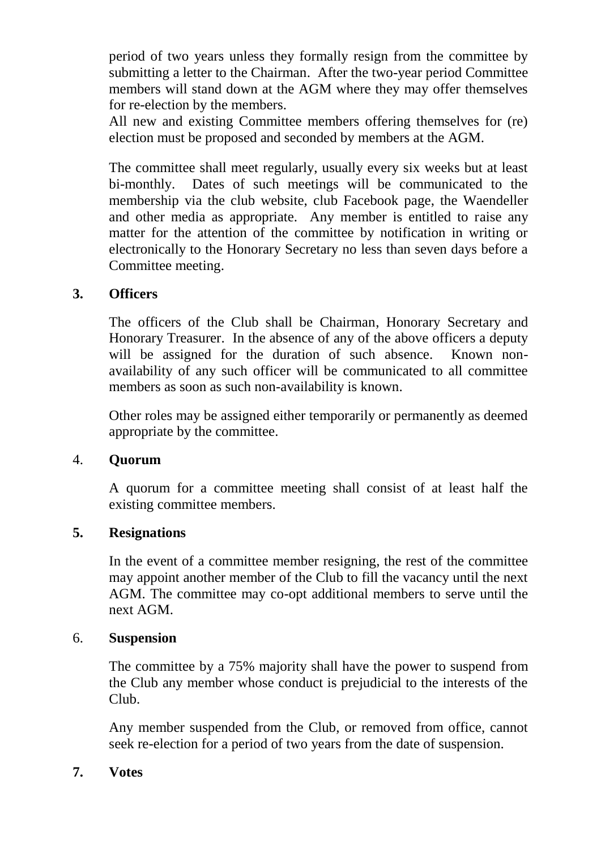period of two years unless they formally resign from the committee by submitting a letter to the Chairman. After the two-year period Committee members will stand down at the AGM where they may offer themselves for re-election by the members.

All new and existing Committee members offering themselves for (re) election must be proposed and seconded by members at the AGM.

The committee shall meet regularly, usually every six weeks but at least bi-monthly. Dates of such meetings will be communicated to the membership via the club website, club Facebook page, the Waendeller and other media as appropriate. Any member is entitled to raise any matter for the attention of the committee by notification in writing or electronically to the Honorary Secretary no less than seven days before a Committee meeting.

## **3. Officers**

The officers of the Club shall be Chairman, Honorary Secretary and Honorary Treasurer. In the absence of any of the above officers a deputy will be assigned for the duration of such absence. Known nonavailability of any such officer will be communicated to all committee members as soon as such non-availability is known.

Other roles may be assigned either temporarily or permanently as deemed appropriate by the committee.

#### 4. **Quorum**

A quorum for a committee meeting shall consist of at least half the existing committee members.

#### **5. Resignations**

In the event of a committee member resigning, the rest of the committee may appoint another member of the Club to fill the vacancy until the next AGM. The committee may co-opt additional members to serve until the next AGM.

#### 6. **Suspension**

The committee by a 75% majority shall have the power to suspend from the Club any member whose conduct is prejudicial to the interests of the Club.

Any member suspended from the Club, or removed from office, cannot seek re-election for a period of two years from the date of suspension.

#### **7. Votes**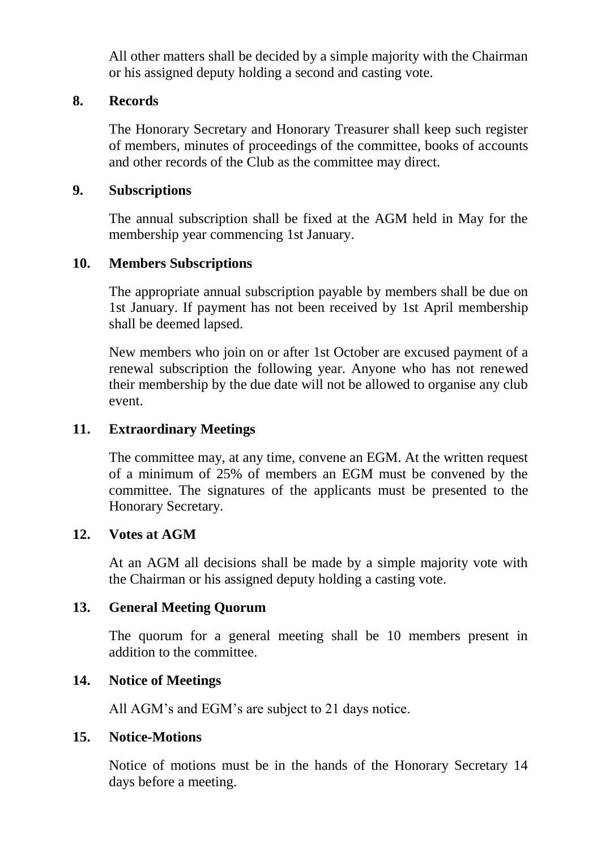All other matters shall be decided by a simple majority with the Chairman or his assigned deputy holding a second and casting vote.

### **8. Records**

The Honorary Secretary and Honorary Treasurer shall keep such register of members, minutes of proceedings of the committee, books of accounts and other records of the Club as the committee may direct.

#### **9. Subscriptions**

The annual subscription shall be fixed at the AGM held in May for the membership year commencing 1st January.

## **10. Members Subscriptions**

The appropriate annual subscription payable by members shall be due on 1st January. If payment has not been received by 1st April membership shall be deemed lapsed.

New members who join on or after 1st October are excused payment of a renewal subscription the following year. Anyone who has not renewed their membership by the due date will not be allowed to organise any club event.

## **11. Extraordinary Meetings**

The committee may, at any time, convene an EGM. At the written request of a minimum of 25% of members an EGM must be convened by the committee. The signatures of the applicants must be presented to the Honorary Secretary.

#### **12. Votes at AGM**

At an AGM all decisions shall be made by a simple majority vote with the Chairman or his assigned deputy holding a casting vote.

#### **13. General Meeting Quorum**

The quorum for a general meeting shall be 10 members present in addition to the committee.

## **14. Notice of Meetings**

All AGM's and EGM's are subject to 21 days notice.

#### **15. Notice-Motions**

Notice of motions must be in the hands of the Honorary Secretary 14 days before a meeting.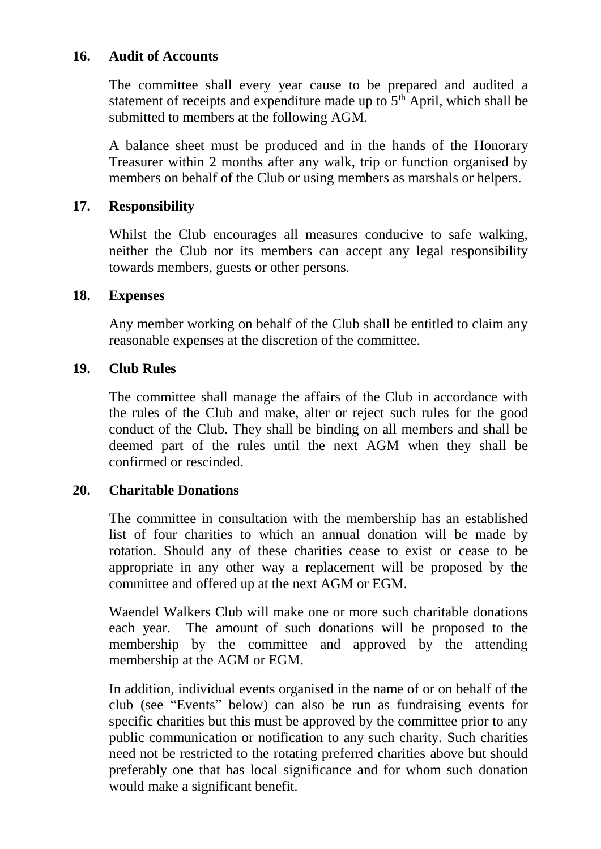## **16. Audit of Accounts**

The committee shall every year cause to be prepared and audited a statement of receipts and expenditure made up to  $5<sup>th</sup>$  April, which shall be submitted to members at the following AGM.

A balance sheet must be produced and in the hands of the Honorary Treasurer within 2 months after any walk, trip or function organised by members on behalf of the Club or using members as marshals or helpers.

## **17. Responsibility**

Whilst the Club encourages all measures conducive to safe walking, neither the Club nor its members can accept any legal responsibility towards members, guests or other persons.

## **18. Expenses**

Any member working on behalf of the Club shall be entitled to claim any reasonable expenses at the discretion of the committee.

## **19. Club Rules**

The committee shall manage the affairs of the Club in accordance with the rules of the Club and make, alter or reject such rules for the good conduct of the Club. They shall be binding on all members and shall be deemed part of the rules until the next AGM when they shall be confirmed or rescinded.

## **20. Charitable Donations**

The committee in consultation with the membership has an established list of four charities to which an annual donation will be made by rotation. Should any of these charities cease to exist or cease to be appropriate in any other way a replacement will be proposed by the committee and offered up at the next AGM or EGM.

Waendel Walkers Club will make one or more such charitable donations each year. The amount of such donations will be proposed to the membership by the committee and approved by the attending membership at the AGM or EGM.

In addition, individual events organised in the name of or on behalf of the club (see "Events" below) can also be run as fundraising events for specific charities but this must be approved by the committee prior to any public communication or notification to any such charity. Such charities need not be restricted to the rotating preferred charities above but should preferably one that has local significance and for whom such donation would make a significant benefit.